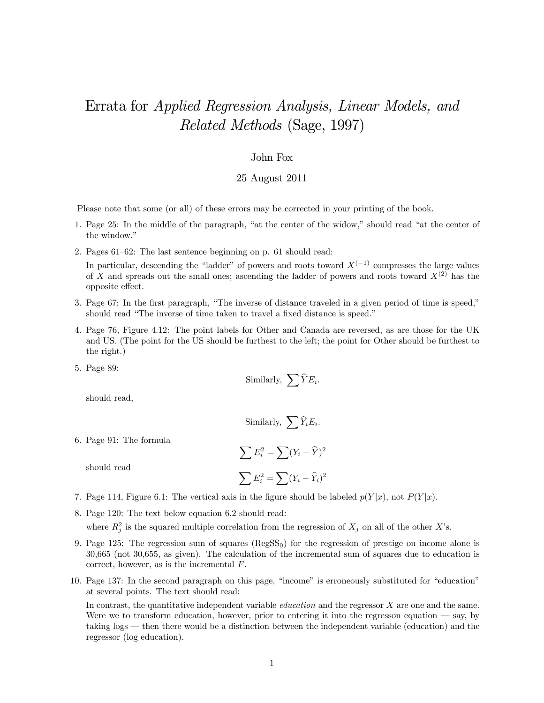## Errata for Applied Regression Analysis, Linear Models, and Related Methods (Sage, 1997)

## John Fox

## 25 August 2011

Please note that some (or all) of these errors may be corrected in your printing of the book.

- 1. Page 25: In the middle of the paragraph, "at the center of the widow," should read "at the center of the window."
- 2. Pages 61—62: The last sentence beginning on p. 61 should read: In particular, descending the "ladder" of powers and roots toward  $X^{(-1)}$  compresses the large values of X and spreads out the small ones; ascending the ladder of powers and roots toward  $X^{(2)}$  has the opposite effect.
- 3. Page 67: In the first paragraph, "The inverse of distance traveled in a given period of time is speed," should read "The inverse of time taken to travel a fixed distance is speed."
- 4. Page 76, Figure 4.12: The point labels for Other and Canada are reversed, as are those for the UK and US. (The point for the US should be furthest to the left; the point for Other should be furthest to the right.)
- 5. Page 89:

Similarly, 
$$
\sum \hat{Y} E_i
$$
.

should read,

should read

Similarly, 
$$
\sum \widehat{Y}_i E_i
$$
.

6. Page 91: The formula

$$
\sum E_i^2 = \sum (Y_i - \widehat{Y})^2
$$

$$
\sum E_i^2 = \sum (Y_i - \widehat{Y}_i)^2
$$

- 7. Page 114, Figure 6.1: The vertical axis in the figure should be labeled  $p(Y|x)$ , not  $P(Y|x)$ .
- 8. Page 120: The text below equation 6.2 should read:

where  $R_j^2$  is the squared multiple correlation from the regression of  $X_j$  on all of the other X's.

- 9. Page 125: The regression sum of squares  $(RegSS<sub>0</sub>)$  for the regression of prestige on income alone is 30,665 (not 30,655, as given). The calculation of the incremental sum of squares due to education is correct, however, as is the incremental  $F$ .
- 10. Page 137: In the second paragraph on this page, "income" is erroneously substituted for "education" at several points. The text should read:

In contrast, the quantitative independent variable *education* and the regressor  $X$  are one and the same. Were we to transform education, however, prior to entering it into the regresson equation – say, by taking logs – then there would be a distinction between the independent variable (education) and the regressor (log education).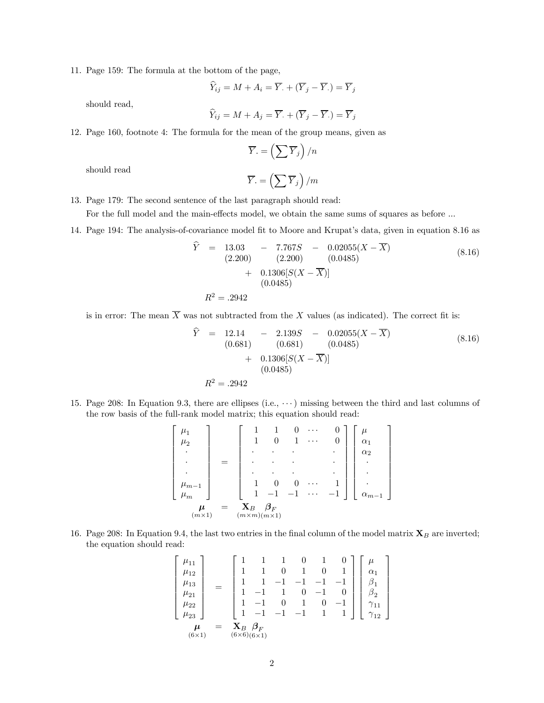11. Page 159: The formula at the bottom of the page,

$$
\widehat{Y}_{ij} = M + A_i = \overline{Y} + (\overline{Y}_j - \overline{Y}_i) = \overline{Y}_j
$$

should read,

$$
\widehat{Y}_{ij} = M + A_j = \overline{Y} + (\overline{Y}_j - \overline{Y}) = \overline{Y}_j
$$

12. Page 160, footnote 4: The formula for the mean of the group means, given as

$$
\overline{Y} = \left(\sum \overline{Y}_j\right) / n
$$

should read

$$
\overline{Y}_{\cdot}=\left(\sum \overline{Y}_{j}\right)/m
$$

- 13. Page 179: The second sentence of the last paragraph should read: For the full model and the main-effects model, we obtain the same sums of squares as before ...
- 14. Page 194: The analysis-of-covariance model fit to Moore and Krupat's data, given in equation 8.16 as

$$
\hat{Y} = 13.03 - 7.767S - 0.02055(X - \overline{X})
$$
\n
$$
(2.200) \qquad (2.200) \qquad (0.0485)
$$
\n
$$
+ 0.1306[S(X - \overline{X})]
$$
\n
$$
(0.0485)
$$
\n
$$
R^2 = .2942
$$
\n(8.16)

is in error: The mean  $\overline{X}$  was not subtracted from the X values (as indicated). The correct fit is:

$$
\begin{aligned}\n\widehat{Y} &= 12.14 - 2.139S - 0.02055(X - \overline{X}) \\
(0.681) & (0.681) (0.0485) \\
&+ 0.1306[S(X - \overline{X})] \\
(0.0485)\n\end{aligned}\n\tag{8.16}
$$
\n
$$
R^2 = .2942
$$

⎤

⎥ ⎥ ⎥ ⎥ ⎥ ⎥

 $\overline{a}$ 

15. Page 208: In Equation 9.3, there are ellipses (i.e., ···) missing between the third and last columns of the row basis of the full-rank model matrix; this equation should read:

$$
\begin{bmatrix}\n\mu_1 \\
\mu_2 \\
\vdots \\
\mu_{m-1} \\
\mu_m\n\end{bmatrix} = \begin{bmatrix}\n1 & 1 & 0 & \cdots & 0 \\
1 & 0 & 1 & \cdots & 0 \\
\vdots & \vdots & \ddots & \vdots \\
1 & 0 & 0 & \cdots & 1 \\
1 & -1 & -1 & \cdots & -1\n\end{bmatrix} \begin{bmatrix}\n\mu \\
\alpha_1 \\
\alpha_2 \\
\vdots \\
\alpha_{m-1}\n\end{bmatrix}
$$
\n
$$
\mu_m = \mathbf{X}_B \mathbf{B}_F
$$
\n
$$
\mu_m \times \mathbf{I}
$$
\n
$$
(m \times \mathbf{I}) \quad (m \times \mathbf{m})(m \times \mathbf{I})
$$

16. Page 208: In Equation 9.4, the last two entries in the final column of the model matrix  $\mathbf{X}_B$  are inverted; the equation should read:

$$
\begin{bmatrix}\n\mu_{11} \\
\mu_{12} \\
\mu_{13} \\
\mu_{21} \\
\mu_{22} \\
\mu_{23}\n\end{bmatrix} = \begin{bmatrix}\n1 & 1 & 1 & 0 & 1 & 0 \\
1 & 1 & 0 & 1 & 0 & 1 \\
1 & 1 & -1 & -1 & -1 & -1 \\
1 & -1 & 1 & 0 & -1 & 0 \\
1 & -1 & 0 & 1 & 0 & -1 \\
1 & -1 & -1 & -1 & 1 & 1\n\end{bmatrix}\n\begin{bmatrix}\n\mu \\
\alpha_1 \\
\beta_1 \\
\beta_2 \\
\gamma_{11} \\
\gamma_{12} \\
\gamma_{12}\n\end{bmatrix}
$$
\n
$$
\mu = \mathbf{X}_B \beta_F
$$
\n(6×1) (6×6)(6×1)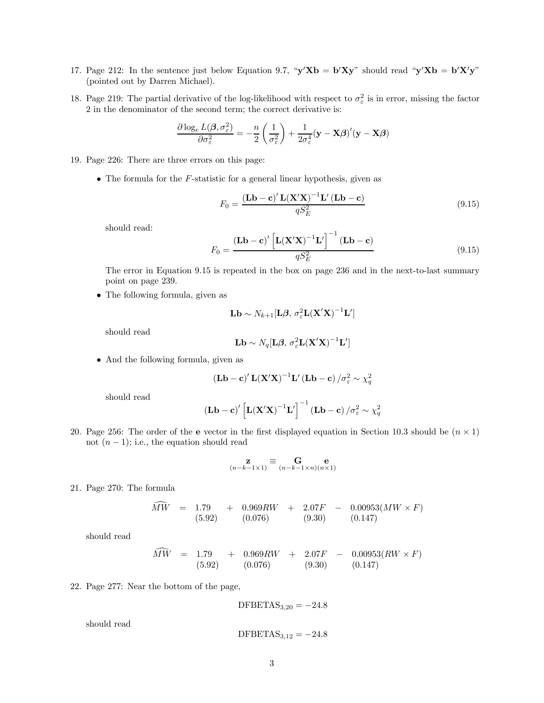- 17. Page 212: In the sentence just below Equation 9.7, " $y'Xb = b'Xy$ " should read " $y'Xb = b'X'y$ " (pointed out by Darren Michael).
- 18. Page 219: The partial derivative of the log-likelihood with respect to  $\sigma_{\varepsilon}^2$  is in error, missing the factor 2 in the denominator of the second term; the correct derivative is:

$$
\frac{\partial \log_e L(\boldsymbol{\beta}, \sigma_{\varepsilon}^2)}{\partial \sigma_{\varepsilon}^2} = -\frac{n}{2} \left( \frac{1}{\sigma_{\varepsilon}^2} \right) + \frac{1}{2\sigma_{\varepsilon}^4} (\mathbf{y} - \mathbf{X}\boldsymbol{\beta})' (\mathbf{y} - \mathbf{X}\boldsymbol{\beta})
$$

- 19. Page 226: There are three errors on this page:
	- The formula for the  $F$ -statistic for a general linear hypothesis, given as

$$
F_0 = \frac{\left(\mathbf{Lb} - \mathbf{c}\right)^{\prime} \mathbf{L} \left(\mathbf{X}^{\prime} \mathbf{X}\right)^{-1} \mathbf{L}^{\prime} \left(\mathbf{Lb} - \mathbf{c}\right)}{q S_E^2}
$$
(9.15)

should read:

$$
F_0 = \frac{\left(\mathbf{Lb} - \mathbf{c}\right)' \left[\mathbf{L} (\mathbf{X}' \mathbf{X})^{-1} \mathbf{L}'\right]^{-1} \left(\mathbf{Lb} - \mathbf{c}\right)}{qS_E^2}
$$
(9.15)

The error in Equation 9.15 is repeated in the box on page 236 and in the next-to-last summary point on page 239.

• The following formula, given as

$$
\mathbf{Lb} \sim N_{k+1}[\mathbf{L}\boldsymbol{\beta}, \sigma_{\varepsilon}^2 \mathbf{L}(\mathbf{X}'\mathbf{X})^{-1}\mathbf{L}']
$$

should read

$$
\mathbf{Lb} \sim N_q[\mathbf{L}\boldsymbol{\beta}, \sigma_{\varepsilon}^2 \mathbf{L}(\mathbf{X}'\mathbf{X})^{-1}\mathbf{L}']
$$

• And the following formula, given as

$$
(\mathbf{L}\mathbf{b}-\mathbf{c})'\mathbf{L}(\mathbf{X}'\mathbf{X})^{-1}\mathbf{L}'(\mathbf{L}\mathbf{b}-\mathbf{c})/\sigma_{\varepsilon}^{2} \sim \chi_{q}^{2}
$$

should read

$$
(\mathbf{L}\mathbf{b}-\mathbf{c})'\left[\mathbf{L}(\mathbf{X}'\mathbf{X})^{-1}\mathbf{L}'\right]^{-1}(\mathbf{L}\mathbf{b}-\mathbf{c})/\sigma_{\varepsilon}^{2} \sim \chi_{q}^{2}
$$

20. Page 256: The order of the e vector in the first displayed equation in Section 10.3 should be  $(n \times 1)$ not  $(n-1)$ ; i.e., the equation should read

$$
\mathbf{z}_{(n-k-1\times 1)} \equiv \mathbf{G}_{(n-k-1\times n)(n\times 1)}
$$

21. Page 270: The formula

$$
\widehat{MW} = 1.79 + 0.969RW + 2.07F - 0.00953(MW \times F)
$$
\n
$$
(5.92) (0.076) (9.30) (0.147)
$$

should read

$$
\widehat{MW} = 1.79 + 0.969RW + 2.07F - 0.00953(RW \times F)
$$
  
(5.92) (0.076) (9.30) (0.147)

22. Page 277: Near the bottom of the page,

$$
DFBETAS_{3,20} = -24.8
$$

should read

 $DFBETAS<sub>3,12</sub> = -24.8$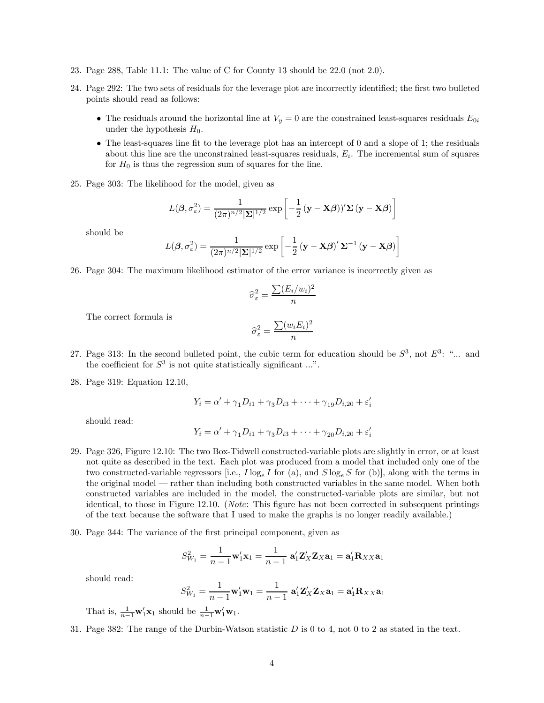- 23. Page 288, Table 11.1: The value of C for County 13 should be 22.0 (not 2.0).
- 24. Page 292: The two sets of residuals for the leverage plot are incorrectly identified; the first two bulleted points should read as follows:
	- The residuals around the horizontal line at  $V_y = 0$  are the constrained least-squares residuals  $E_{0i}$ under the hypothesis  $H_0$ .
	- The least-squares line fit to the leverage plot has an intercept of 0 and a slope of 1; the residuals about this line are the unconstrained least-squares residuals,  $E<sub>i</sub>$ . The incremental sum of squares for  $H_0$  is thus the regression sum of squares for the line.
- 25. Page 303: The likelihood for the model, given as

$$
L(\boldsymbol{\beta}, \sigma_{\varepsilon}^{2}) = \frac{1}{(2\pi)^{n/2} |\mathbf{\Sigma}|^{1/2}} \exp \left[ -\frac{1}{2} (\mathbf{y} - \mathbf{X}\boldsymbol{\beta})^{\prime} \mathbf{\Sigma} (\mathbf{y} - \mathbf{X}\boldsymbol{\beta}) \right]
$$

should be

$$
L(\boldsymbol{\beta}, \sigma_{\varepsilon}^{2}) = \frac{1}{(2\pi)^{n/2} |\mathbf{\Sigma}|^{1/2}} \exp \left[ -\frac{1}{2} (\mathbf{y} - \mathbf{X}\boldsymbol{\beta})' \mathbf{\Sigma}^{-1} (\mathbf{y} - \mathbf{X}\boldsymbol{\beta}) \right]
$$

26. Page 304: The maximum likelihood estimator of the error variance is incorrectly given as

$$
\hat{\sigma}_{\varepsilon}^2 = \frac{\sum (E_i/w_i)^2}{n}
$$

The correct formula is

$$
\widehat{\sigma}_{\varepsilon}^{2} = \frac{\sum (w_{i}E_{i})^{2}}{n}
$$

- 27. Page 313: In the second bulleted point, the cubic term for education should be  $S^3$ , not  $E^3$ : "... and the coefficient for  $S^3$  is not quite statistically significant ...".
- 28. Page 319: Equation 12.10,

$$
Y_i = \alpha' + \gamma_1 D_{i1} + \gamma_3 D_{i3} + \dots + \gamma_{19} D_{i,20} + \varepsilon'_i
$$

should read:

$$
Y_i = \alpha' + \gamma_1 D_{i1} + \gamma_3 D_{i3} + \dots + \gamma_{20} D_{i,20} + \varepsilon'_i
$$

- 29. Page 326, Figure 12.10: The two Box-Tidwell constructed-variable plots are slightly in error, or at least not quite as described in the text. Each plot was produced from a model that included only one of the two constructed-variable regressors [i.e.,  $I \log_e I$  for (a), and  $S \log_e S$  for (b)], along with the terms in the original model – rather than including both constructed variables in the same model. When both constructed variables are included in the model, the constructed-variable plots are similar, but not identical, to those in Figure 12.10. (Note: This figure has not been corrected in subsequent printings of the text because the software that I used to make the graphs is no longer readily available.)
- 30. Page 344: The variance of the first principal component, given as

$$
S_{W_1}^2 = \frac{1}{n-1} \mathbf{w}_1' \mathbf{x}_1 = \frac{1}{n-1} \mathbf{a}_1' \mathbf{Z}_X' \mathbf{Z}_X \mathbf{a}_1 = \mathbf{a}_1' \mathbf{R}_{XX} \mathbf{a}_1
$$

should read:

$$
S_{W_1}^2 = \frac{1}{n-1} \mathbf{w}_1' \mathbf{w}_1 = \frac{1}{n-1} \mathbf{a}_1' \mathbf{Z}_X' \mathbf{Z}_X \mathbf{a}_1 = \mathbf{a}_1' \mathbf{R}_{XX} \mathbf{a}_1
$$

That is,  $\frac{1}{n-1}\mathbf{w}_1'\mathbf{x}_1$  should be  $\frac{1}{n-1}\mathbf{w}_1'\mathbf{w}_1$ .

31. Page 382: The range of the Durbin-Watson statistic  $D$  is 0 to 4, not 0 to 2 as stated in the text.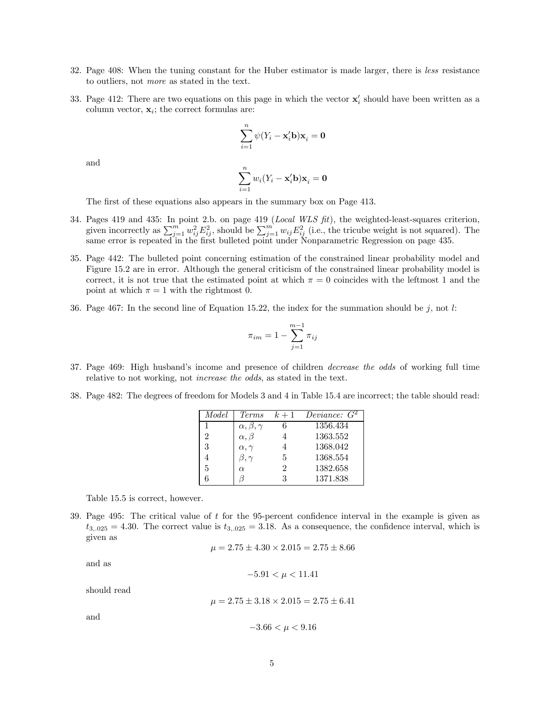- 32. Page 408: When the tuning constant for the Huber estimator is made larger, there is less resistance to outliers, not more as stated in the text.
- 33. Page 412: There are two equations on this page in which the vector  $\mathbf{x}'_i$  should have been written as a column vector,  $\mathbf{x}_i$ ; the correct formulas are:

$$
\sum_{i=1}^{n} \psi(Y_i - \mathbf{x}'_i \mathbf{b}) \mathbf{x}_i = \mathbf{0}
$$

and

$$
\sum_{i=1}^{n} w_i (Y_i - \mathbf{x}'_i \mathbf{b}) \mathbf{x}_i = \mathbf{0}
$$

The first of these equations also appears in the summary box on Page 413.

- 34. Pages 419 and 435: In point 2.b. on page 419 (Local WLS fit), the weighted-least-squares criterion, given incorrectly as  $\sum_{j=1}^{m} w_{ij}^2 E_{ij}^2$ , should be  $\sum_{j=1}^{m} w_{ij} E_{ij}^2$  (i.e., the tricube weight is not squared). The same error is repeated in the first bulleted point under Nonparametric Regression on page 435.
- 35. Page 442: The bulleted point concerning estimation of the constrained linear probability model and Figure 15.2 are in error. Although the general criticism of the constrained linear probability model is correct, it is not true that the estimated point at which  $\pi = 0$  coincides with the leftmost 1 and the point at which  $\pi = 1$  with the rightmost 0.
- 36. Page 467: In the second line of Equation 15.22, the index for the summation should be  $j$ , not l:

$$
\pi_{im}=1-\sum_{j=1}^{m-1}\pi_{ij}
$$

- 37. Page 469: High husband's income and presence of children decrease the odds of working full time relative to not working, not increase the odds, as stated in the text.
- 38. Page 482: The degrees of freedom for Models 3 and 4 in Table 15.4 are incorrect; the table should read:

| Model | <i>Terms</i>            | $k+1$                       | Deviance: $G^2$ |
|-------|-------------------------|-----------------------------|-----------------|
|       | $\alpha, \beta, \gamma$ |                             | 1356.434        |
| 2     | $\alpha, \beta$         |                             | 1363.552        |
|       | $\alpha, \gamma$        |                             | 1368.042        |
|       | $\beta,\gamma$          | 5                           | 1368.554        |
| 5     | $\alpha$                | $\mathcal{D}_{\mathcal{L}}$ | 1382.658        |
|       |                         | 3                           | 1371.838        |

Table 15.5 is correct, however.

39. Page 495: The critical value of  $t$  for the 95-percent confidence interval in the example is given as  $t_{3,025} = 4.30$ . The correct value is  $t_{3,025} = 3.18$ . As a consequence, the confidence interval, which is given as

$$
\mu = 2.75 \pm 4.30 \times 2.015 = 2.75 \pm 8.66
$$

and as

$$
-5.91 < \mu < 11.41
$$

should read

 $\mu = 2.75 \pm 3.18 \times 2.015 = 2.75 \pm 6.41$ 

and

$$
-3.66 < \mu < 9.16
$$